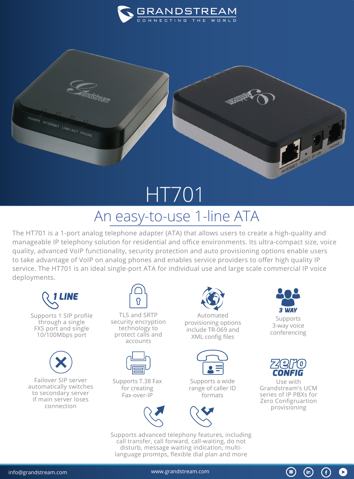



## HT701 An easy-to-use 1-line ATA

The HT701 is a 1-port analog telephone adapter (ATA) that allows users to create a high-quality and manageable IP telephony solution for residential and office environments. Its ultra-compact size, voice quality, advanced VoIP functionality, security protection and auto provisioning options enable users to take advantage of VoIP on analog phones and enables service providers to offer high quality IP service. The HT701 is an ideal single-port ATA for individual use and large scale commercial IP voice deployments.



Supports 1 SIP profile through a single FXS port and single 10/100Mbps port



Failover SIP server automatically switches to secondary server if main server loses connection



TLS and SRTP security encryption technology to protect calls and accounts



Supports T.38 Fax for creating Fax-over-IP



Automated provisioning options include TR-069 and XML config files



Supports a wide range of caller ID formats



Supports advanced telephony features, including call transfer, call forward, call-waiting, do not disturb, message waiting indication, multilanguage promtps, flexible dial plan and more



Supports 3-way voice conferencing



Use with Grandstream's UCM series of IP PBXs for Zero Configruartion provisioning

 $\circledast$ 

G

 $(in)$